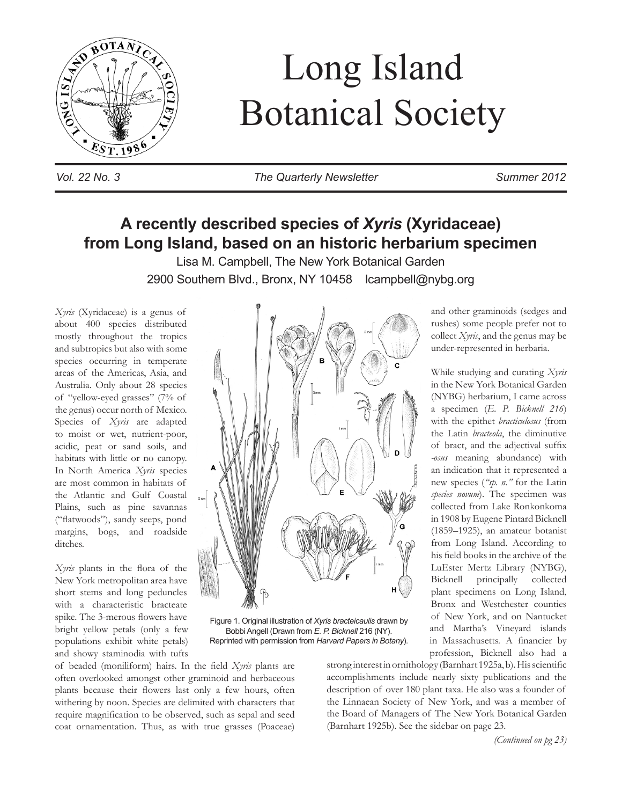

# Long Island Botanical Society

*Vol. 22 No. 3 The Quarterly Newsletter Summer 2012*

## **A recently described species of** *Xyris* **(Xyridaceae) from Long Island, based on an historic herbarium specimen**

Lisa M. Campbell, The New York Botanical Garden 2900 Southern Blvd., Bronx, NY 10458 lcampbell@nybg.org

*Xyris* (Xyridaceae) is a genus of about 400 species distributed mostly throughout the tropics and subtropics but also with some species occurring in temperate areas of the Americas, Asia, and Australia. Only about 28 species of "yellow-eyed grasses" (7% of the genus) occur north of Mexico. Species of *Xyris* are adapted to moist or wet, nutrient-poor, acidic, peat or sand soils, and habitats with little or no canopy. In North America *Xyris* species are most common in habitats of the Atlantic and Gulf Coastal Plains, such as pine savannas ("flatwoods"), sandy seeps, pond margins, bogs, and roadside ditches.

*Xyris* plants in the flora of the New York metropolitan area have short stems and long peduncles with a characteristic bracteate spike. The 3-merous flowers have bright yellow petals (only a few populations exhibit white petals) and showy staminodia with tufts



Figure 1. Original illustration of *Xyris bracteicaulis* drawn by Bobbi Angell (Drawn from *E. P. Bicknell* 216 (NY). Reprinted with permission from *Harvard Papers in Botany*).

of beaded (moniliform) hairs. In the field *Xyris* plants are often overlooked amongst other graminoid and herbaceous plants because their flowers last only a few hours, often withering by noon. Species are delimited with characters that require magnification to be observed, such as sepal and seed coat ornamentation. Thus, as with true grasses (Poaceae)

strong interest in ornithology (Barnhart 1925a, b). His scientific accomplishments include nearly sixty publications and the description of over 180 plant taxa. He also was a founder of the Linnaean Society of New York, and was a member of the Board of Managers of The New York Botanical Garden (Barnhart 1925b). See the sidebar on page 23.

and other graminoids (sedges and rushes) some people prefer not to collect *Xyris*, and the genus may be under-represented in herbaria.

While studying and curating *Xyris*  in the New York Botanical Garden (NYBG) herbarium, I came across a specimen (*E. P. Bicknell 216*) with the epithet *bracticulosus* (from the Latin *bracteola*, the diminutive of bract, and the adjectival suffix *-osus* meaning abundance) with an indication that it represented a new species (*"sp. n."* for the Latin *species novum*). The specimen was collected from Lake Ronkonkoma in 1908 by Eugene Pintard Bicknell (1859–1925), an amateur botanist from Long Island. According to his field books in the archive of the LuEster Mertz Library (NYBG), Bicknell principally collected plant specimens on Long Island, Bronx and Westchester counties of New York, and on Nantucket and Martha's Vineyard islands in Massachusetts. A financier by profession, Bicknell also had a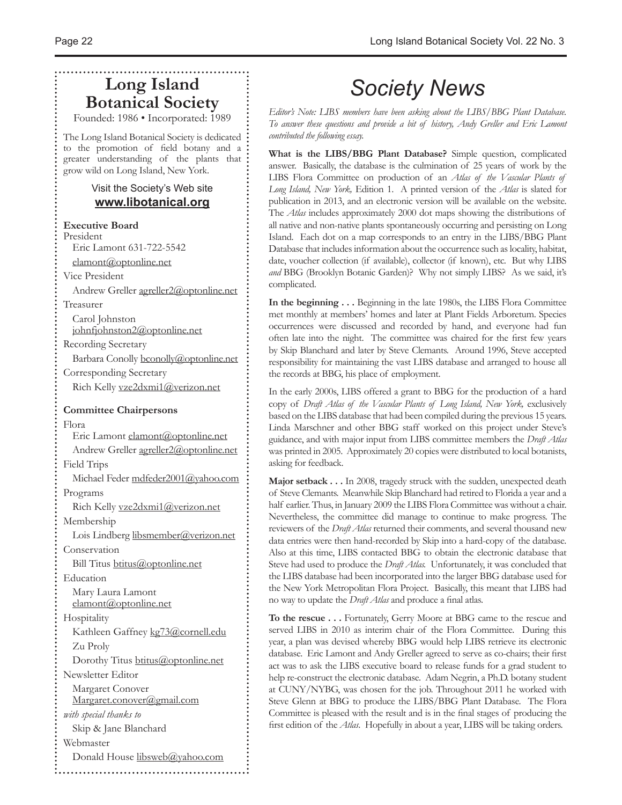# **Long Island Botanical Society**

Founded: 1986 • Incorporated: 1989

The Long Island Botanical Society is dedicated to the promotion of field botany and a greater understanding of the plants that grow wild on Long Island, New York.

### Visit the Society's Web site **www.libotanical.org**

**Executive Board** President

Eric Lamont 631-722-5542

elamont@optonline.net

Vice President

Andrew Greller agreller2@optonline.net

Treasurer

Carol Johnston johnfjohnston2@optonline.net

Recording Secretary

Barbara Conolly bconolly@optonline.net Corresponding Secretary

Rich Kelly vze2dxmi1@verizon.net

### **Committee Chairpersons**

Flora

Eric Lamont elamont@optonline.net Andrew Greller agreller2@optonline.net Field Trips Michael Feder mdfeder2001@yahoo.com Programs Rich Kelly vze2dxmi1@verizon.net Membership Lois Lindberg libsmember@verizon.net Conservation Bill Titus btitus@optonline.net Education

Mary Laura Lamont elamont@optonline.net

Hospitality

Kathleen Gaffney kg73@cornell.edu Zu Proly Dorothy Titus btitus@optonline.net

Newsletter Editor

Margaret Conover Margaret.conover@gmail.com

*with special thanks to*

Skip & Jane Blanchard Webmaster

Donald House libsweb@yahoo.com 

# *Society News*

*Editor's Note: LIBS members have been asking about the LIBS/BBG Plant Database. To answer these questions and provide a bit of history, Andy Greller and Eric Lamont contributed the following essay.* 

**What is the LIBS/BBG Plant Database?** Simple question, complicated answer. Basically, the database is the culmination of 25 years of work by the LIBS Flora Committee on production of an *Atlas of the Vascular Plants of Long Island, New York,* Edition 1. A printed version of the *Atlas* is slated for publication in 2013, and an electronic version will be available on the website. The *Atlas* includes approximately 2000 dot maps showing the distributions of all native and non-native plants spontaneously occurring and persisting on Long Island. Each dot on a map corresponds to an entry in the LIBS/BBG Plant Database that includes information about the occurrence such as locality, habitat, date, voucher collection (if available), collector (if known), etc. But why LIBS *and* BBG (Brooklyn Botanic Garden)? Why not simply LIBS? As we said, it's complicated.

**In the beginning . . .** Beginning in the late 1980s, the LIBS Flora Committee met monthly at members' homes and later at Plant Fields Arboretum. Species occurrences were discussed and recorded by hand, and everyone had fun often late into the night. The committee was chaired for the first few years by Skip Blanchard and later by Steve Clemants. Around 1996, Steve accepted responsibility for maintaining the vast LIBS database and arranged to house all the records at BBG, his place of employment.

In the early 2000s, LIBS offered a grant to BBG for the production of a hard copy of *Draft Atlas of the Vascular Plants of Long Island, New York,* exclusively based on the LIBS database that had been compiled during the previous 15 years. Linda Marschner and other BBG staff worked on this project under Steve's guidance, and with major input from LIBS committee members the *Draft Atlas*  was printed in 2005. Approximately 20 copies were distributed to local botanists, asking for feedback.

**Major setback . . .** In 2008, tragedy struck with the sudden, unexpected death of Steve Clemants. Meanwhile Skip Blanchard had retired to Florida a year and a half earlier. Thus, in January 2009 the LIBS Flora Committee was without a chair. Nevertheless, the committee did manage to continue to make progress. The reviewers of the *Draft Atlas* returned their comments, and several thousand new data entries were then hand-recorded by Skip into a hard-copy of the database. Also at this time, LIBS contacted BBG to obtain the electronic database that Steve had used to produce the *Draft Atlas.* Unfortunately, it was concluded that the LIBS database had been incorporated into the larger BBG database used for the New York Metropolitan Flora Project. Basically, this meant that LIBS had no way to update the *Draft Atlas* and produce a final atlas.

**To the rescue . . .** Fortunately, Gerry Moore at BBG came to the rescue and served LIBS in 2010 as interim chair of the Flora Committee. During this year, a plan was devised whereby BBG would help LIBS retrieve its electronic database. Eric Lamont and Andy Greller agreed to serve as co-chairs; their first act was to ask the LIBS executive board to release funds for a grad student to help re-construct the electronic database. Adam Negrin, a Ph.D. botany student at CUNY/NYBG, was chosen for the job. Throughout 2011 he worked with Steve Glenn at BBG to produce the LIBS/BBG Plant Database. The Flora Committee is pleased with the result and is in the final stages of producing the first edition of the *Atlas*. Hopefully in about a year, LIBS will be taking orders.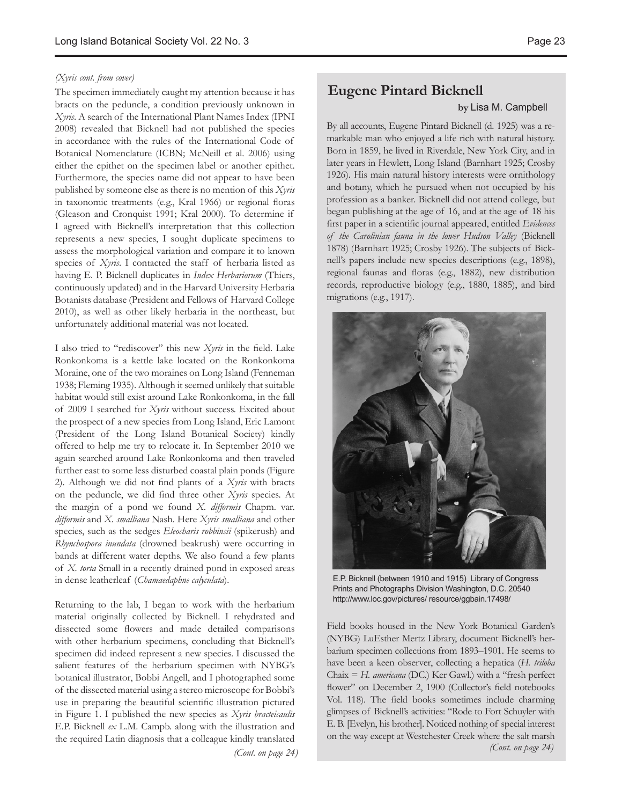### *(Xyris cont. from cover)*

The specimen immediately caught my attention because it has bracts on the peduncle, a condition previously unknown in *Xyris*. A search of the International Plant Names Index (IPNI 2008) revealed that Bicknell had not published the species in accordance with the rules of the International Code of Botanical Nomenclature (ICBN; McNeill et al. 2006) using either the epithet on the specimen label or another epithet. Furthermore, the species name did not appear to have been published by someone else as there is no mention of this *Xyris* in taxonomic treatments (e.g., Kral 1966) or regional floras (Gleason and Cronquist 1991; Kral 2000). To determine if I agreed with Bicknell's interpretation that this collection represents a new species, I sought duplicate specimens to assess the morphological variation and compare it to known species of *Xyris*. I contacted the staff of herbaria listed as having E. P. Bicknell duplicates in *Index Herbariorum* (Thiers, continuously updated) and in the Harvard University Herbaria Botanists database (President and Fellows of Harvard College 2010), as well as other likely herbaria in the northeast, but unfortunately additional material was not located.

I also tried to "rediscover" this new *Xyris* in the field. Lake Ronkonkoma is a kettle lake located on the Ronkonkoma Moraine, one of the two moraines on Long Island (Fenneman 1938; Fleming 1935). Although it seemed unlikely that suitable habitat would still exist around Lake Ronkonkoma, in the fall of 2009 I searched for *Xyris* without success. Excited about the prospect of a new species from Long Island, Eric Lamont (President of the Long Island Botanical Society) kindly offered to help me try to relocate it. In September 2010 we again searched around Lake Ronkonkoma and then traveled further east to some less disturbed coastal plain ponds (Figure 2). Although we did not find plants of a *Xyris* with bracts on the peduncle, we did find three other *Xyris* species. At the margin of a pond we found *X. difformis* Chapm. var. *difformis* and *X. smalliana* Nash. Here *Xyris smalliana* and other species, such as the sedges *Eleocharis robbinsii* (spikerush) and *Rhynchospora inundata* (drowned beakrush) were occurring in bands at different water depths. We also found a few plants of *X. torta* Small in a recently drained pond in exposed areas in dense leatherleaf (*Chamaedaphne calyculata*).

Returning to the lab, I began to work with the herbarium material originally collected by Bicknell. I rehydrated and dissected some flowers and made detailed comparisons with other herbarium specimens, concluding that Bicknell's specimen did indeed represent a new species. I discussed the salient features of the herbarium specimen with NYBG's botanical illustrator, Bobbi Angell, and I photographed some of the dissected material using a stereo microscope for Bobbi's use in preparing the beautiful scientific illustration pictured in Figure 1. I published the new species as *Xyris bracteicaulis* E.P. Bicknell *ex* L.M. Campb. along with the illustration and the required Latin diagnosis that a colleague kindly translated

### **Eugene Pintard Bicknell**

#### **by** Lisa M. Campbell

By all accounts, Eugene Pintard Bicknell (d. 1925) was a remarkable man who enjoyed a life rich with natural history. Born in 1859, he lived in Riverdale, New York City, and in later years in Hewlett, Long Island (Barnhart 1925; Crosby 1926). His main natural history interests were ornithology and botany, which he pursued when not occupied by his profession as a banker. Bicknell did not attend college, but began publishing at the age of 16, and at the age of 18 his first paper in a scientific journal appeared, entitled *Evidences of the Carolinian fauna in the lower Hudson Valley* (Bicknell 1878) (Barnhart 1925; Crosby 1926). The subjects of Bicknell's papers include new species descriptions (e.g., 1898), regional faunas and floras (e.g., 1882), new distribution records, reproductive biology (e.g., 1880, 1885), and bird migrations (e.g., 1917).



E.P. Bicknell (between 1910 and 1915) Library of Congress Prints and Photographs Division Washington, D.C. 20540 http://www.loc.gov/pictures/ resource/ggbain.17498/

*(Cont. on page 24) (Cont. on page 24)* Field books housed in the New York Botanical Garden's (NYBG) LuEsther Mertz Library, document Bicknell's herbarium specimen collections from 1893–1901. He seems to have been a keen observer, collecting a hepatica (*H. triloba*  Chaix = *H. americana* (DC.) Ker Gawl.) with a "fresh perfect flower" on December 2, 1900 (Collector's field notebooks Vol. 118). The field books sometimes include charming glimpses of Bicknell's activities: "Rode to Fort Schuyler with E. B. [Evelyn, his brother]. Noticed nothing of special interest on the way except at Westchester Creek where the salt marsh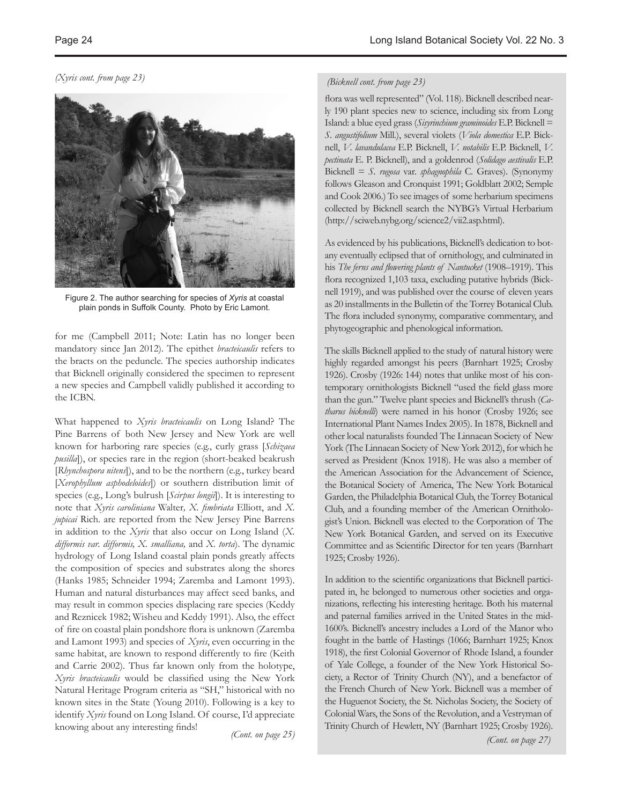

Figure 2. The author searching for species of *Xyris* at coastal plain ponds in Suffolk County. Photo by Eric Lamont.

for me (Campbell 2011; Note: Latin has no longer been mandatory since Jan 2012). The epithet *bracteicaulis* refers to the bracts on the peduncle. The species authorship indicates that Bicknell originally considered the specimen to represent a new species and Campbell validly published it according to the ICBN.

What happened to *Xyris bracteicaulis* on Long Island? The Pine Barrens of both New Jersey and New York are well known for harboring rare species (e.g., curly grass [*Schizaea pusilla*]), or species rare in the region (short-beaked beakrush [*Rhynchospora nitens*]), and to be the northern (e.g., turkey beard [*Xerophyllum asphodeloides*]) or southern distribution limit of species (e.g., Long's bulrush [*Scirpus longii*]). It is interesting to note that *Xyris caroliniana* Walter*, X. fimbriata* Elliott, and *X. jupicai* Rich. are reported from the New Jersey Pine Barrens in addition to the *Xyris* that also occur on Long Island (*X. difformis var. difformis, X. smalliana,* and *X. torta*). The dynamic hydrology of Long Island coastal plain ponds greatly affects the composition of species and substrates along the shores (Hanks 1985; Schneider 1994; Zaremba and Lamont 1993). Human and natural disturbances may affect seed banks, and may result in common species displacing rare species (Keddy and Reznicek 1982; Wisheu and Keddy 1991). Also, the effect of fire on coastal plain pondshore flora is unknown (Zaremba and Lamont 1993) and species of *Xyris*, even occurring in the same habitat, are known to respond differently to fire (Keith and Carrie 2002). Thus far known only from the holotype, *Xyris bracteicaulis* would be classified using the New York Natural Heritage Program criteria as "SH," historical with no known sites in the State (Young 2010). Following is a key to identify *Xyris* found on Long Island. Of course, I'd appreciate

*(Xyris cont. from page 23) (Bicknell cont. from page 23)*

flora was well represented" (Vol. 118). Bicknell described nearly 190 plant species new to science, including six from Long Island: a blue eyed grass (*Sisyrinchium graminoides* E.P. Bicknell = *S. angustifolium* Mill.), several violets (*Viola domestica* E.P. Bicknell, *V. lavandulacea* E.P. Bicknell, *V. notabilis* E.P. Bicknell, *V. pectinata* E. P. Bicknell), and a goldenrod (*Solidago aestivalis* E.P. Bicknell = *S. rugosa* var. *sphagnophila* C. Graves). (Synonymy follows Gleason and Cronquist 1991; Goldblatt 2002; Semple and Cook 2006.) To see images of some herbarium specimens collected by Bicknell search the NYBG's Virtual Herbarium (http://sciweb.nybg.org/science2/vii2.asp.html).

As evidenced by his publications, Bicknell's dedication to botany eventually eclipsed that of ornithology, and culminated in his *The ferns and flowering plants of Nantucket* (1908–1919). This flora recognized 1,103 taxa, excluding putative hybrids (Bicknell 1919), and was published over the course of eleven years as 20 installments in the Bulletin of the Torrey Botanical Club. The flora included synonymy, comparative commentary, and phytogeographic and phenological information.

The skills Bicknell applied to the study of natural history were highly regarded amongst his peers (Barnhart 1925; Crosby 1926). Crosby (1926: 144) notes that unlike most of his contemporary ornithologists Bicknell "used the field glass more than the gun." Twelve plant species and Bicknell's thrush (*Catharus bicknelli*) were named in his honor (Crosby 1926; see International Plant Names Index 2005). In 1878, Bicknell and other local naturalists founded The Linnaean Society of New York (The Linnaean Society of New York 2012), for which he served as President (Knox 1918). He was also a member of the American Association for the Advancement of Science, the Botanical Society of America, The New York Botanical Garden, the Philadelphia Botanical Club, the Torrey Botanical Club, and a founding member of the American Ornithologist's Union. Bicknell was elected to the Corporation of The New York Botanical Garden, and served on its Executive Committee and as Scientific Director for ten years (Barnhart 1925; Crosby 1926).

knowing about any interesting finds! *(Cont. on page 25) (Cont. on page 27)* Trinity Church of Hewlett, NY (Barnhart 1925; Crosby 1926).In addition to the scientific organizations that Bicknell participated in, he belonged to numerous other societies and organizations, reflecting his interesting heritage. Both his maternal and paternal families arrived in the United States in the mid-1600's. Bicknell's ancestry includes a Lord of the Manor who fought in the battle of Hastings (1066; Barnhart 1925; Knox 1918), the first Colonial Governor of Rhode Island, a founder of Yale College, a founder of the New York Historical Society, a Rector of Trinity Church (NY), and a benefactor of the French Church of New York. Bicknell was a member of the Huguenot Society, the St. Nicholas Society, the Society of Colonial Wars, the Sons of the Revolution, and a Vestryman of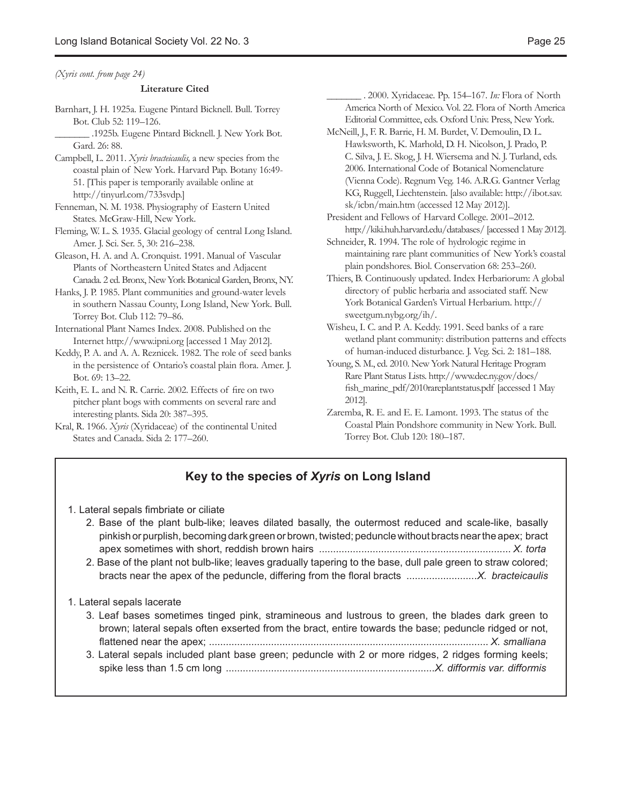*(Xyris cont. from page 24)*

#### **Literature Cited**

Barnhart, J. H. 1925a. Eugene Pintard Bicknell. Bull. Torrey Bot. Club 52: 119–126.

\_\_\_\_\_\_\_ .1925b. Eugene Pintard Bicknell. J. New York Bot. Gard. 26: 88.

- Campbell, L. 2011. *Xyris bracteicaulis,* a new species from the coastal plain of New York. Harvard Pap. Botany 16:49- 51. [This paper is temporarily available online at http://tinyurl.com/733svdp.]
- Fenneman, N. M. 1938. Physiography of Eastern United States. McGraw-Hill, New York.
- Fleming, W. L. S. 1935. Glacial geology of central Long Island. Amer. J. Sci. Ser. 5, 30: 216–238.
- Gleason, H. A. and A. Cronquist. 1991. Manual of Vascular Plants of Northeastern United States and Adjacent Canada. 2 ed. Bronx, New York Botanical Garden, Bronx, NY.
- Hanks, J. P. 1985. Plant communities and ground-water levels in southern Nassau County, Long Island, New York. Bull. Torrey Bot. Club 112: 79–86.
- International Plant Names Index. 2008. Published on the Internet http://www.ipni.org [accessed 1 May 2012].
- Keddy, P. A. and A. A. Reznicek. 1982. The role of seed banks in the persistence of Ontario's coastal plain flora. Amer. J. Bot. 69: 13–22.
- Keith, E. L. and N. R. Carrie. 2002. Effects of fire on two pitcher plant bogs with comments on several rare and interesting plants. Sida 20: 387–395.
- Kral, R. 1966. *Xyris* (Xyridaceae) of the continental United States and Canada. Sida 2: 177–260.
- \_\_\_\_\_\_\_ . 2000. Xyridaceae. Pp. 154–167. *In:* Flora of North America North of Mexico. Vol. 22. Flora of North America Editorial Committee, eds. Oxford Univ. Press, New York.
- McNeill, J., F. R. Barrie, H. M. Burdet, V. Demoulin, D. L. Hawksworth, K. Marhold, D. H. Nicolson, J. Prado, P. C. Silva, J. E. Skog, J. H. Wiersema and N. J. Turland, eds. 2006. International Code of Botanical Nomenclature (Vienna Code). Regnum Veg. 146. A.R.G. Gantner Verlag KG, Ruggell, Liechtenstein. [also available: http://ibot.sav. sk/icbn/main.htm (accessed 12 May 2012)].
- President and Fellows of Harvard College. 2001–2012. http://kiki.huh.harvard.edu/databases/ [accessed 1 May 2012].
- Schneider, R. 1994. The role of hydrologic regime in maintaining rare plant communities of New York's coastal plain pondshores. Biol. Conservation 68: 253–260.
- Thiers, B. Continuously updated. Index Herbariorum: A global directory of public herbaria and associated staff. New York Botanical Garden's Virtual Herbarium. http:// sweetgum.nybg.org/ih/.
- Wisheu, I. C. and P. A. Keddy. 1991. Seed banks of a rare wetland plant community: distribution patterns and effects of human-induced disturbance. J. Veg. Sci. 2: 181–188.
- Young, S. M., ed. 2010. New York Natural Heritage Program Rare Plant Status Lists. http://www.dec.ny.gov/docs/ fish\_marine\_pdf/2010rareplantstatus.pdf [accessed 1 May 2012].
- Zaremba, R. E. and E. E. Lamont. 1993. The status of the Coastal Plain Pondshore community in New York. Bull. Torrey Bot. Club 120: 180–187.

### **Key to the species of** *Xyris* **on Long Island**

- 1. Lateral sepals fimbriate or ciliate
	- 2. Base of the plant bulb-like; leaves dilated basally, the outermost reduced and scale-like, basally pinkish or purplish, becoming dark green or brown, twisted; peduncle without bracts near the apex; bract apex sometimes with short, reddish brown hairs .................................................................... *X. torta*
	- 2. Base of the plant not bulb-like; leaves gradually tapering to the base, dull pale green to straw colored; bracts near the apex of the peduncle, differing from the floral bracts .........................*X. bracteicaulis*
- 1. Lateral sepals lacerate
	- 3. Leaf bases sometimes tinged pink, stramineous and lustrous to green, the blades dark green to brown; lateral sepals often exserted from the bract, entire towards the base; peduncle ridged or not, flattened near the apex; ................................................................................................... *X. smalliana*
	- 3. Lateral sepals included plant base green; peduncle with 2 or more ridges, 2 ridges forming keels; spike less than 1.5 cm long ..........................................................................*X. difformis var. difformis*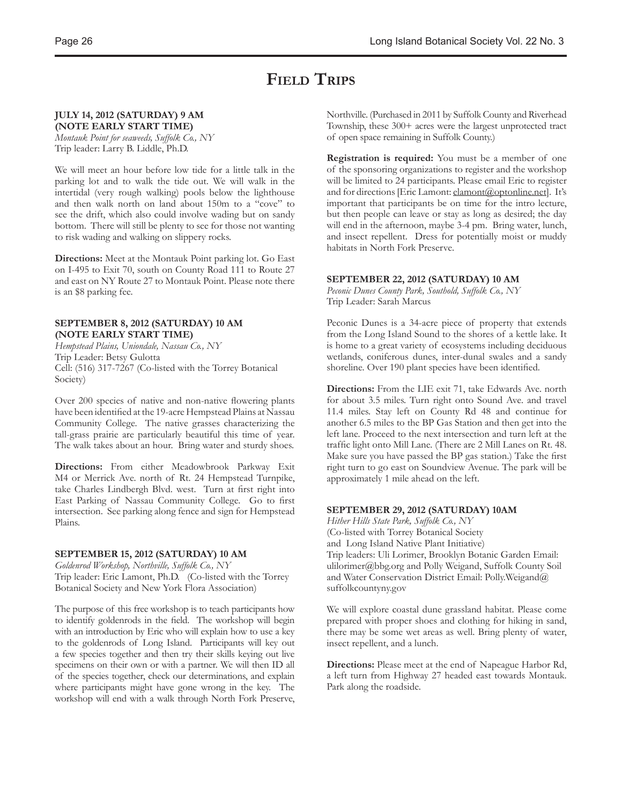# **FIELD TRIPS**

### **JULY 14, 2012 (SATURDAY) 9 AM (NOTE EARLY START TIME)**

*Montauk Point for seaweeds, Suffolk Co., NY* Trip leader: Larry B. Liddle, Ph.D.

We will meet an hour before low tide for a little talk in the parking lot and to walk the tide out. We will walk in the intertidal (very rough walking) pools below the lighthouse and then walk north on land about 150m to a "cove" to see the drift, which also could involve wading but on sandy bottom. There will still be plenty to see for those not wanting to risk wading and walking on slippery rocks.

**Directions:** Meet at the Montauk Point parking lot. Go East on I-495 to Exit 70, south on County Road 111 to Route 27 and east on NY Route 27 to Montauk Point. Please note there is an \$8 parking fee.

### **SEPTEMBER 8, 2012 (SATURDAY) 10 AM (NOTE EARLY START TIME)**

*Hempstead Plains, Uniondale, Nassau Co., NY* Trip Leader: Betsy Gulotta Cell: (516) 317-7267 (Co-listed with the Torrey Botanical Society)

Over 200 species of native and non-native flowering plants have been identified at the 19-acre Hempstead Plains at Nassau Community College. The native grasses characterizing the tall-grass prairie are particularly beautiful this time of year. The walk takes about an hour. Bring water and sturdy shoes.

**Directions:** From either Meadowbrook Parkway Exit M4 or Merrick Ave. north of Rt. 24 Hempstead Turnpike, take Charles Lindbergh Blvd. west. Turn at first right into East Parking of Nassau Community College. Go to first intersection. See parking along fence and sign for Hempstead Plains.

### **SEPTEMBER 15, 2012 (SATURDAY) 10 AM**

*Goldenrod Workshop, Northville, Suffolk Co., NY* Trip leader: Eric Lamont, Ph.D. (Co-listed with the Torrey Botanical Society and New York Flora Association)

The purpose of this free workshop is to teach participants how to identify goldenrods in the field. The workshop will begin with an introduction by Eric who will explain how to use a key to the goldenrods of Long Island. Participants will key out a few species together and then try their skills keying out live specimens on their own or with a partner. We will then ID all of the species together, check our determinations, and explain where participants might have gone wrong in the key. The workshop will end with a walk through North Fork Preserve, Northville. (Purchased in 2011 by Suffolk County and Riverhead Township, these 300+ acres were the largest unprotected tract of open space remaining in Suffolk County.)

**Registration is required:** You must be a member of one of the sponsoring organizations to register and the workshop will be limited to 24 participants. Please email Eric to register and for directions [Eric Lamont: elamont@optonline.net]. It's important that participants be on time for the intro lecture, but then people can leave or stay as long as desired; the day will end in the afternoon, maybe 3-4 pm. Bring water, lunch, and insect repellent. Dress for potentially moist or muddy habitats in North Fork Preserve.

### **SEPTEMBER 22, 2012 (SATURDAY) 10 AM**

*Peconic Dunes County Park, Southold, Suffolk Co., NY*  Trip Leader: Sarah Marcus

Peconic Dunes is a 34-acre piece of property that extends from the Long Island Sound to the shores of a kettle lake. It is home to a great variety of ecosystems including deciduous wetlands, coniferous dunes, inter-dunal swales and a sandy shoreline. Over 190 plant species have been identified.

**Directions:** From the LIE exit 71, take Edwards Ave. north for about 3.5 miles. Turn right onto Sound Ave. and travel 11.4 miles. Stay left on County Rd 48 and continue for another 6.5 miles to the BP Gas Station and then get into the left lane. Proceed to the next intersection and turn left at the traffic light onto Mill Lane. (There are 2 Mill Lanes on Rt. 48. Make sure you have passed the BP gas station.) Take the first right turn to go east on Soundview Avenue. The park will be approximately 1 mile ahead on the left.

### **SEPTEMBER 29, 2012 (SATURDAY) 10AM**

*Hither Hills State Park, Suffolk Co., NY*  (Co-listed with Torrey Botanical Society and Long Island Native Plant Initiative) Trip leaders: Uli Lorimer, Brooklyn Botanic Garden Email: ulilorimer@bbg.org and Polly Weigand, Suffolk County Soil and Water Conservation District Email: Polly.Weigand@ suffolkcountyny.gov

We will explore coastal dune grassland habitat. Please come prepared with proper shoes and clothing for hiking in sand, there may be some wet areas as well. Bring plenty of water, insect repellent, and a lunch.

**Directions:** Please meet at the end of Napeague Harbor Rd, a left turn from Highway 27 headed east towards Montauk. Park along the roadside.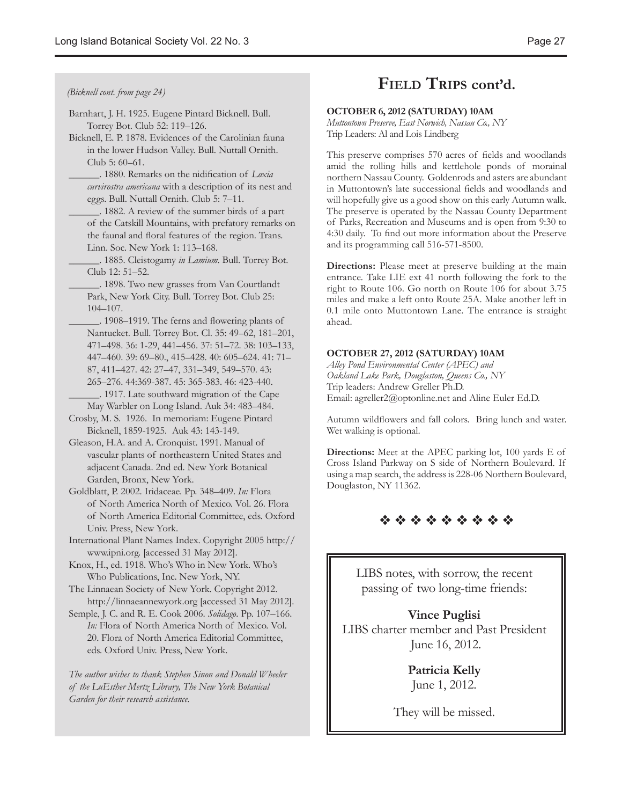*(Bicknell cont. from page 24)*

- Barnhart, J. H. 1925. Eugene Pintard Bicknell. Bull. Torrey Bot. Club 52: 119–126.
- Bicknell, E. P. 1878. Evidences of the Carolinian fauna in the lower Hudson Valley. Bull. Nuttall Ornith. Club 5: 60–61.
	- \_\_\_\_\_\_. 1880. Remarks on the nidification of *Loxia curvirostra americana* with a description of its nest and eggs. Bull. Nuttall Ornith. Club 5: 7–11.
	- \_\_\_\_\_\_. 1882. A review of the summer birds of a part of the Catskill Mountains, with prefatory remarks on the faunal and floral features of the region. Trans. Linn. Soc. New York 1: 113–168.
	- \_\_\_\_\_\_. 1885. Cleistogamy *in Lamium*. Bull. Torrey Bot. Club 12: 51–52.
	- \_\_\_\_\_\_. 1898. Two new grasses from Van Courtlandt Park, New York City. Bull. Torrey Bot. Club 25: 104–107.
	- \_\_\_\_\_\_. 1908–1919. The ferns and flowering plants of Nantucket. Bull. Torrey Bot. Cl. 35: 49–62, 181–201, 471–498. 36: 1-29, 441–456. 37: 51–72. 38: 103–133, 447–460. 39: 69–80., 415–428. 40: 605–624. 41: 71– 87, 411–427. 42: 27–47, 331–349, 549–570. 43: 265–276. 44:369-387. 45: 365-383. 46: 423-440.
- \_\_\_\_\_\_. 1917. Late southward migration of the Cape May Warbler on Long Island. Auk 34: 483–484.
- Crosby, M. S. 1926. In memoriam: Eugene Pintard Bicknell, 1859-1925. Auk 43: 143-149.
- Gleason, H.A. and A. Cronquist. 1991. Manual of vascular plants of northeastern United States and adjacent Canada. 2nd ed. New York Botanical Garden, Bronx, New York.
- Goldblatt, P. 2002. Iridaceae. Pp. 348–409. *In:* Flora of North America North of Mexico. Vol. 26. Flora of North America Editorial Committee, eds. Oxford Univ. Press, New York.
- International Plant Names Index. Copyright 2005 http:// www.ipni.org. [accessed 31 May 2012].
- Knox, H., ed. 1918. Who's Who in New York. Who's Who Publications, Inc. New York, NY.
- The Linnaean Society of New York. Copyright 2012. http://linnaeannewyork.org [accessed 31 May 2012].
- Semple, J. C. and R. E. Cook 2006. *Solidago*. Pp. 107–166. *In:* Flora of North America North of Mexico. Vol. 20. Flora of North America Editorial Committee, eds. Oxford Univ. Press, New York.
- *The author wishes to thank Stephen Sinon and Donald Wheeler of the LuEsther Mertz Library, The New York Botanical Garden for their research assistance.*

### **Field Trips cont'd.**

### **OCTOBER 6, 2012 (SATURDAY) 10AM**

*Muttontown Preserve, East Norwich, Nassau Co., NY*  Trip Leaders: Al and Lois Lindberg

This preserve comprises 570 acres of fields and woodlands amid the rolling hills and kettlehole ponds of morainal northern Nassau County. Goldenrods and asters are abundant in Muttontown's late successional fields and woodlands and will hopefully give us a good show on this early Autumn walk. The preserve is operated by the Nassau County Department of Parks, Recreation and Museums and is open from 9:30 to 4:30 daily. To find out more information about the Preserve and its programming call 516-571-8500.

**Directions:** Please meet at preserve building at the main entrance. Take LIE ext 41 north following the fork to the right to Route 106. Go north on Route 106 for about 3.75 miles and make a left onto Route 25A. Make another left in 0.1 mile onto Muttontown Lane. The entrance is straight ahead.

#### **OCTOBER 27, 2012 (SATURDAY) 10AM**

*Alley Pond Environmental Center (APEC) and Oakland Lake Park, Douglaston, Queens Co., NY* Trip leaders: Andrew Greller Ph.D. Email: agreller2@optonline.net and Aline Euler Ed.D.

Autumn wildflowers and fall colors. Bring lunch and water. Wet walking is optional.

**Directions:** Meet at the APEC parking lot, 100 yards E of Cross Island Parkway on S side of Northern Boulevard. If using a map search, the address is 228-06 Northern Boulevard, Douglaston, NY 11362.



LIBS notes, with sorrow, the recent passing of two long-time friends:

**Vince Puglisi** LIBS charter member and Past President June 16, 2012.

> **Patricia Kelly** June 1, 2012.

They will be missed.